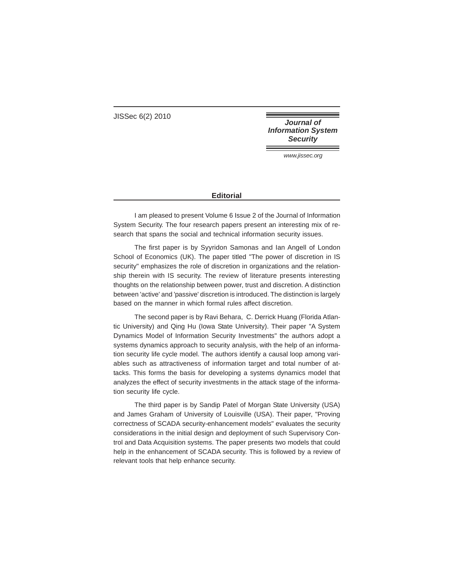JISSec 6(2) 2010

**Journal of Information System Security** 

www.jissec.org

## **Editorial**

I am pleased to present Volume 6 Issue 2 of the Journal of Information System Security. The four research papers present an interesting mix of research that spans the social and technical information security issues.

The first paper is by Syyridon Samonas and Ian Angell of London School of Economics (UK). The paper titled "The power of discretion in IS security" emphasizes the role of discretion in organizations and the relationship therein with IS security. The review of literature presents interesting thoughts on the relationship between power, trust and discretion. A distinction between 'active' and 'passive' discretion is introduced. The distinction is largely based on the manner in which formal rules affect discretion.

The second paper is by Ravi Behara, C. Derrick Huang (Florida Atlantic University) and Qing Hu (Iowa State University). Their paper "A System Dynamics Model of Information Security Investments" the authors adopt a systems dynamics approach to security analysis, with the help of an information security life cycle model. The authors identify a causal loop among variables such as attractiveness of information target and total number of attacks. This forms the basis for developing a systems dynamics model that analyzes the effect of security investments in the attack stage of the information security life cycle.

The third paper is by Sandip Patel of Morgan State University (USA) and James Graham of University of Louisville (USA). Their paper, "Proving correctness of SCADA security-enhancement models" evaluates the security considerations in the initial design and deployment of such Supervisory Control and Data Acquisition systems. The paper presents two models that could help in the enhancement of SCADA security. This is followed by a review of relevant tools that help enhance security.